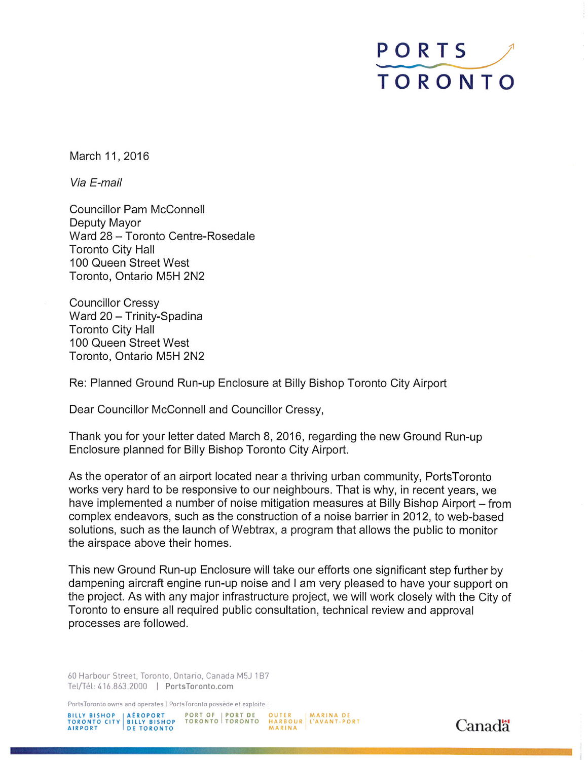## PORTS TORONTO

March 11, 2016

Via E-mail

**Councillor Pam McConnell** Deputy Mayor Ward 28 - Toronto Centre-Rosedale **Toronto City Hall** 100 Queen Street West Toronto, Ontario M5H 2N2

**Councillor Cressy** Ward 20 - Trinity-Spadina **Toronto City Hall** 100 Queen Street West Toronto, Ontario M5H 2N2

Re: Planned Ground Run-up Enclosure at Billy Bishop Toronto City Airport

Dear Councillor McConnell and Councillor Cressy,

Thank you for your letter dated March 8, 2016, regarding the new Ground Run-up Enclosure planned for Billy Bishop Toronto City Airport.

As the operator of an airport located near a thriving urban community. PortsToronto works very hard to be responsive to our neighbours. That is why, in recent years, we have implemented a number of noise mitigation measures at Billy Bishop Airport – from complex endeavors, such as the construction of a noise barrier in 2012, to web-based solutions, such as the launch of Webtrax, a program that allows the public to monitor the airspace above their homes.

This new Ground Run-up Enclosure will take our efforts one significant step further by dampening aircraft engine run-up noise and I am very pleased to have your support on the project. As with any major infrastructure project, we will work closely with the City of Toronto to ensure all required public consultation, technical review and approval processes are followed.

60 Harbour Street, Toronto, Ontario, Canada M5J 1B7 Tel/Tél: 416.863.2000 | PortsToronto.com

PortsToronto owns and operates | PortsToronto possède et exploite :

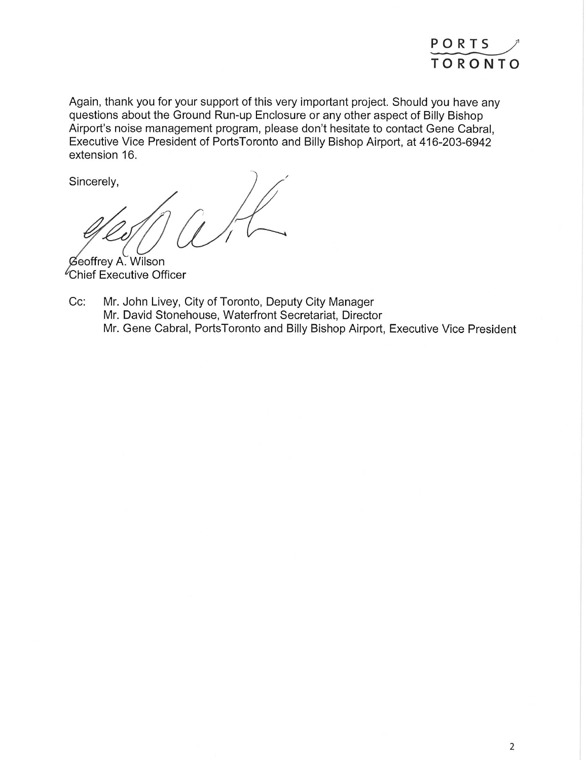

Again, thank you for your support of this very important project. Should you have any questions about the Ground Run-up Enclosure or any other aspect of Billy Bishop Airport's noise management program, please don't hesitate to contact Gene Cabral, Executive Vice President of PortsToronto and Billy Bishop Airport, at 416-203-6942 extension 16.

Sincerely,

Geoffrey A. Wilson Chief Executive Officer

Cc: Mr. John Livey, City of Toronto, Deputy City Manager Mr. David Stonehouse, Waterfront Secretariat, Director Mr. Gene Cabral, PortsToronto and Billy Bishop Airport, Executive Vice President